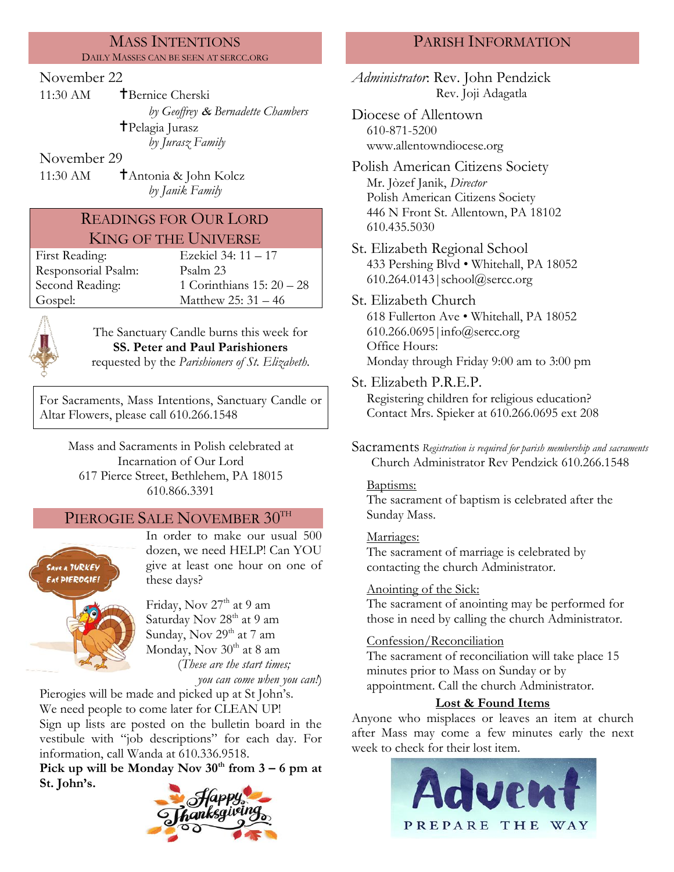#### MASS INTENTIONS DAILY MASSES CAN BE SEEN AT SERCC.ORG

### November 22

11:30 AM **T**Bernice Cherski *by Geoffrey* & *Bernadette Chambers* Pelagia Jurasz *by Jurasz Family*

November 29

11:30 AM  $\uparrow$  Antonia & John Kolcz *by Janik Family*

# READINGS FOR OUR LORD KING OF THE UNIVERSE

Responsorial Psalm: [Psalm 2](http://www.usccb.org/bible/readings/bible/psalms/25:4)3 Gospel: Matthew 25: 31 – 46

First Reading: Ezekiel 34: 11 – 17 Second Reading: 1 Corinthians 15: 20 – 28



The Sanctuary Candle burns this week for **SS. Peter and Paul Parishioners** requested by the *Parishioners of St. Elizabeth.*

For Sacraments, Mass Intentions, Sanctuary Candle or Altar Flowers, please call 610.266.1548

Mass and Sacraments in Polish celebrated at Incarnation of Our Lord 617 Pierce Street, Bethlehem, PA 18015 610.866.3391

# PIEROGIE SALE NOVEMBER 30TH



In order to make our usual 500 dozen, we need HELP! Can YOU give at least one hour on one of these days?



Friday, Nov  $27<sup>th</sup>$  at 9 am Saturday Nov 28<sup>th</sup> at 9 am Sunday, Nov  $29<sup>th</sup>$  at 7 am Monday, Nov  $30<sup>th</sup>$  at 8 am (*These are the start times; you can come when you can!*)

Pierogies will be made and picked up at St John's. We need people to come later for CLEAN UP! Sign up lists are posted on the bulletin board in the vestibule with "job descriptions" for each day. For information, call Wanda at 610.336.9518.

**Pick up will be Monday Nov**  $30^{\text{th}}$  **from**  $3 - 6$  **pm at St. John's.**



# PARISH INFORMATION

*Administrator*: Rev. John Pendzick Rev. Joji Adagatla

Diocese of Allentown 610-871-5200 www.allentowndiocese.org

Polish American Citizens Society Mr. Jòzef Janik, *Director* Polish American Citizens Society 446 N Front St. Allentown, PA 18102 610.435.5030

St. Elizabeth Regional School 433 Pershing Blvd • Whitehall, PA 18052 610.264.0143|school@sercc.org

St. Elizabeth Church 618 Fullerton Ave • Whitehall, PA 18052 610.266.0695|info@sercc.org Office Hours: Monday through Friday 9:00 am to 3:00 pm

St. Elizabeth P.R.E.P. Registering children for religious education? Contact Mrs. Spieker at 610.266.0695 ext 208

Sacraments *Registration is required for parish membership and sacraments* Church Administrator Rev Pendzick 610.266.1548

#### Baptisms:

The sacrament of baptism is celebrated after the Sunday Mass.

#### Marriages:

The sacrament of marriage is celebrated by contacting the church Administrator.

### Anointing of the Sick:

The sacrament of anointing may be performed for those in need by calling the church Administrator.

#### Confession/Reconciliation

The sacrament of reconciliation will take place 15 minutes prior to Mass on Sunday or by appointment. Call the church Administrator.

### **Lost & Found Items**

Anyone who misplaces or leaves an item at church after Mass may come a few minutes early the next week to check for their lost item.